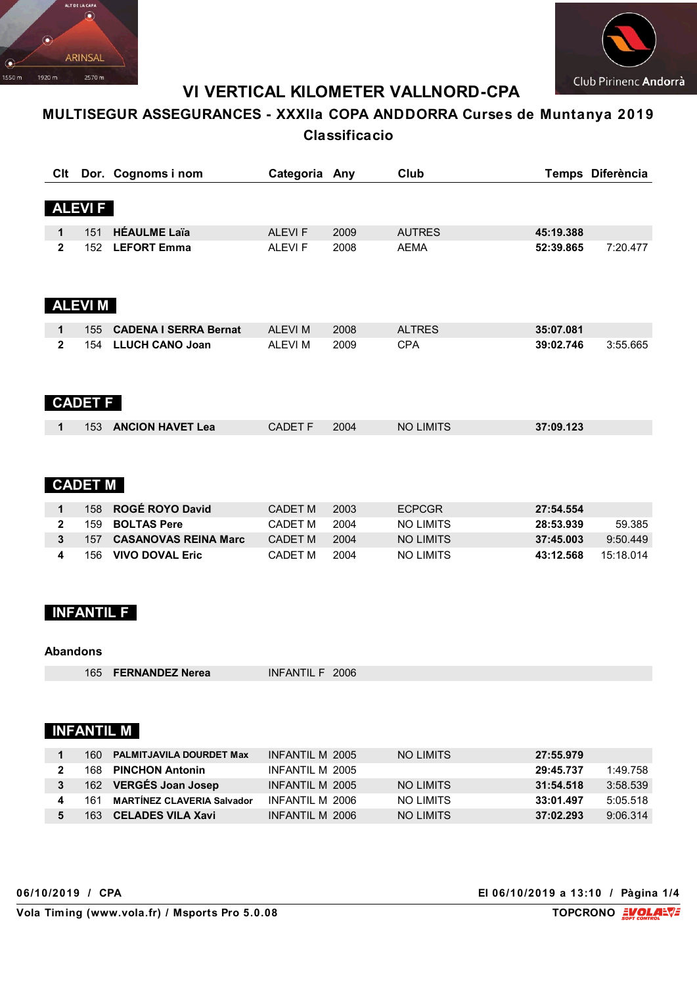



# **VI VERTICAL KILOMETER VALLNORD-CPA**

# **MULTISEGUR ASSEGURANCES - XXXIIa COPA ANDDORRA Curses de Muntanya 2019 Classificacio**

| Clt          |                | Dor. Cognoms i nom           | Categoria Any  |      | Club             |           | Temps Diferència |
|--------------|----------------|------------------------------|----------------|------|------------------|-----------|------------------|
|              |                |                              |                |      |                  |           |                  |
|              | <b>ALEVIF</b>  |                              |                |      |                  |           |                  |
|              | 151            | <b>HÉAULME Laïa</b>          | <b>ALEVIF</b>  | 2009 | <b>AUTRES</b>    |           |                  |
| 1            |                |                              |                |      |                  | 45:19.388 |                  |
| $\mathbf{2}$ | 152            | <b>LEFORT Emma</b>           | <b>ALEVIF</b>  | 2008 | <b>AEMA</b>      | 52:39.865 | 7:20.477         |
|              |                |                              |                |      |                  |           |                  |
|              |                |                              |                |      |                  |           |                  |
|              | <b>ALEVIM</b>  |                              |                |      |                  |           |                  |
|              |                |                              |                |      |                  |           |                  |
| 1            | 155            | <b>CADENA I SERRA Bernat</b> | <b>ALEVIM</b>  | 2008 | <b>ALTRES</b>    | 35:07.081 |                  |
| $\mathbf{2}$ | 154            | <b>LLUCH CANO Joan</b>       | <b>ALEVIM</b>  | 2009 | <b>CPA</b>       | 39:02.746 | 3:55.665         |
|              |                |                              |                |      |                  |           |                  |
|              |                |                              |                |      |                  |           |                  |
|              |                |                              |                |      |                  |           |                  |
|              | <b>CADET F</b> |                              |                |      |                  |           |                  |
| 1            | 153            | <b>ANCION HAVET Lea</b>      | <b>CADET F</b> | 2004 | <b>NO LIMITS</b> | 37:09.123 |                  |
|              |                |                              |                |      |                  |           |                  |
|              |                |                              |                |      |                  |           |                  |
|              |                |                              |                |      |                  |           |                  |
|              | <b>CADET M</b> |                              |                |      |                  |           |                  |
| 1            | 158            | ROGÉ ROYO David              | <b>CADET M</b> | 2003 | <b>ECPCGR</b>    | 27:54.554 |                  |
| $\mathbf{2}$ | 159            | <b>BOLTAS Pere</b>           | <b>CADET M</b> | 2004 | <b>NO LIMITS</b> | 28:53.939 | 59.385           |
|              |                |                              |                |      |                  |           |                  |

|  | 158 ROGE ROYO David        | CADET M        | - 2003 | <b>FCPCGR</b> | 27:54.554 |           |
|--|----------------------------|----------------|--------|---------------|-----------|-----------|
|  | 159 <b>BOLTAS Pere</b>     | CADET M 2004   |        | NO I IMITS    | 28:53.939 | 59.385    |
|  | 157 CASANOVAS REINA Marc   | <b>CADET M</b> | 2004   | NO I IMITS    | 37:45.003 | 9:50.449  |
|  | 156 <b>VIVO DOVAL Eric</b> | CADFT M        | 2004   | NO LIMITS     | 43:12.568 | 15.18.014 |

# **INFANTIL F**

#### **Abandons**

165 **FERNANDEZ Nerea** INFANTIL F 2006

### **INFANTIL M**

| 160. | <b>PALMITJAVILA DOURDET Max</b> | INFANTIL M 2005 | NO LIMITS  | 27:55.979             |
|------|---------------------------------|-----------------|------------|-----------------------|
|      | 168 PINCHON Antonin             | INFANTIL M 2005 |            | 1:49.758<br>29:45.737 |
|      | 162 VERGÉS Joan Josep           | INFANTIL M 2005 | NO LIMITS  | 3:58.539<br>31:54.518 |
|      | 161 MARTÍNEZ CLAVERIA Salvador  | INFANTIL M 2006 | NO I IMITS | 33:01.497<br>5:05.518 |
|      | 163 CELADES VILA Xavi           | INFANTIL M 2006 | NO LIMITS  | 37:02.293<br>9:06.314 |

**06/10/2019 / CPA El 06/10/2019 a 13:10 / Pàgina 1/4**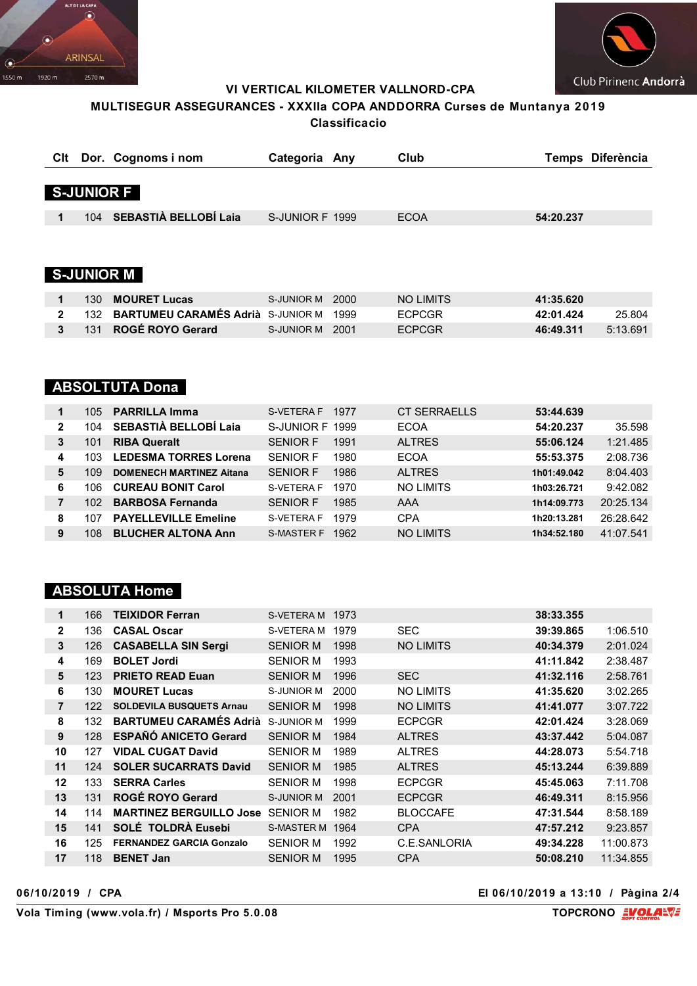



VI VERTICAL KILOMETER VALLNORD-CPA

### MULTISEGUR ASSEGURANCES - XXXIIa COPA ANDDORRA Curses de Muntanya 2019 Classificacio

|                      |                   | CIt Dor. Cognoms i nom        | Categoria Any   |      | Club             |           | Temps Diferència |
|----------------------|-------------------|-------------------------------|-----------------|------|------------------|-----------|------------------|
|                      |                   |                               |                 |      |                  |           |                  |
|                      | <b>S-JUNIOR F</b> |                               |                 |      |                  |           |                  |
|                      |                   |                               |                 |      |                  |           |                  |
| $\blacktriangleleft$ | 104               | SEBASTIÀ BELLOBÍ Laia         | S-JUNIOR F 1999 |      | <b>ECOA</b>      | 54:20.237 |                  |
|                      |                   |                               |                 |      |                  |           |                  |
|                      |                   |                               |                 |      |                  |           |                  |
|                      |                   |                               |                 |      |                  |           |                  |
|                      |                   | <b>S-JUNIOR M</b>             |                 |      |                  |           |                  |
|                      |                   |                               |                 |      |                  |           |                  |
| 1                    | 130               | <b>MOURET Lucas</b>           | S-JUNIOR M      | 2000 | <b>NO LIMITS</b> | 41:35.620 |                  |
| $\mathbf{2}$         | 132               | <b>BARTUMEU CARAMÉS Adrià</b> | S-JUNIOR M      | 1999 | <b>ECPCGR</b>    | 42:01.424 | 25.804           |
| 3                    | 131               | ROGÉ ROYO Gerard              | S-JUNIOR M      | 2001 | <b>ECPCGR</b>    | 46:49.311 | 5:13.691         |

### **ABSOLTUTA Dona**

| 105 |                                 | S-VETERA F           | 1977 | <b>CT SERRAELLS</b> | 53:44.639   |           |
|-----|---------------------------------|----------------------|------|---------------------|-------------|-----------|
| 104 | SEBASTIÀ BELLOBÍ Laia           |                      |      | <b>ECOA</b>         | 54:20.237   | 35.598    |
| 101 | <b>RIBA Queralt</b>             | <b>SENIOR F</b>      | 1991 | <b>ALTRES</b>       | 55:06.124   | 1:21.485  |
| 103 | <b>LEDESMA TORRES Lorena</b>    | SENIOR F             | 1980 | <b>ECOA</b>         | 55:53.375   | 2:08.736  |
| 109 | <b>DOMENECH MARTINEZ Aitana</b> | <b>SENIOR F</b>      | 1986 | <b>ALTRES</b>       | 1h01:49.042 | 8:04.403  |
| 106 | <b>CUREAU BONIT Carol</b>       | S-VETERA F           | 1970 | <b>NO LIMITS</b>    | 1h03:26.721 | 9:42.082  |
| 102 | <b>BARBOSA Fernanda</b>         | <b>SENIOR F</b>      | 1985 | AAA                 | 1h14:09.773 | 20:25.134 |
| 107 | <b>PAYELLEVILLE Emeline</b>     | S-VETERA F           | 1979 | <b>CPA</b>          | 1h20:13.281 | 26:28.642 |
| 108 | <b>BLUCHER ALTONA Ann</b>       | <b>S-MASTER F</b>    | 1962 | <b>NO LIMITS</b>    | 1h34:52.180 | 41:07.541 |
|     |                                 | <b>PARRILLA Imma</b> |      | S-JUNIOR F 1999     |             |           |

### **ABSOLUTA Home**

| 1              | 166 | <b>TEIXIDOR Ferran</b>          | S-VETERA M        | 1973 |                  | 38:33.355 |           |
|----------------|-----|---------------------------------|-------------------|------|------------------|-----------|-----------|
| $\overline{2}$ | 136 | <b>CASAL Oscar</b>              | S-VETERA M        | 1979 | <b>SEC</b>       | 39:39.865 | 1:06.510  |
| $\mathbf{3}$   | 126 | <b>CASABELLA SIN Sergi</b>      | <b>SENIOR M</b>   | 1998 | <b>NO LIMITS</b> | 40:34.379 | 2:01.024  |
| 4              | 169 | <b>BOLET Jordi</b>              | SENIOR M          | 1993 |                  | 41:11.842 | 2:38.487  |
| 5              | 123 | <b>PRIETO READ Euan</b>         | <b>SENIOR M</b>   | 1996 | <b>SEC</b>       | 41:32.116 | 2:58.761  |
| 6              | 130 | <b>MOURET Lucas</b>             | S-JUNIOR M        | 2000 | <b>NO LIMITS</b> | 41:35.620 | 3:02.265  |
| $\overline{7}$ | 122 | <b>SOLDEVILA BUSQUETS Arnau</b> | <b>SENIOR M</b>   | 1998 | <b>NO LIMITS</b> | 41:41.077 | 3:07.722  |
| 8              | 132 | <b>BARTUMEU CARAMÉS Adrià</b>   | S-JUNIOR M        | 1999 | <b>ECPCGR</b>    | 42:01.424 | 3:28.069  |
| 9              | 128 | <b>ESPAÑÓ ANICETO Gerard</b>    | <b>SENIOR M</b>   | 1984 | <b>ALTRES</b>    | 43:37.442 | 5:04.087  |
| 10             | 127 | <b>VIDAL CUGAT David</b>        | <b>SENIOR M</b>   | 1989 | <b>ALTRES</b>    | 44:28.073 | 5:54.718  |
| 11             | 124 | <b>SOLER SUCARRATS David</b>    | <b>SENIOR M</b>   | 1985 | <b>ALTRES</b>    | 45:13.244 | 6:39.889  |
| 12             | 133 | <b>SERRA Carles</b>             | SENIOR M          | 1998 | <b>ECPCGR</b>    | 45:45.063 | 7:11.708  |
| 13             | 131 | <b>ROGÉ ROYO Gerard</b>         | <b>S-JUNIOR M</b> | 2001 | <b>ECPCGR</b>    | 46:49.311 | 8:15.956  |
| 14             | 114 | <b>MARTINEZ BERGUILLO Jose</b>  | <b>SENIOR M</b>   | 1982 | <b>BLOCCAFE</b>  | 47:31.544 | 8:58.189  |
| 15             | 141 | SOLÉ TOLDRÀ Eusebi              | <b>S-MASTER M</b> | 1964 | <b>CPA</b>       | 47:57.212 | 9:23.857  |
| 16             | 125 | <b>FERNANDEZ GARCIA Gonzalo</b> | <b>SENIOR M</b>   | 1992 | C.E.SANLORIA     | 49:34.228 | 11:00.873 |
| 17             | 118 | <b>BENET Jan</b>                | <b>SENIOR M</b>   | 1995 | <b>CPA</b>       | 50:08.210 | 11:34.855 |

06/10/2019 / CPA

El 06/10/2019 a 13:10 / Pàgina 2/4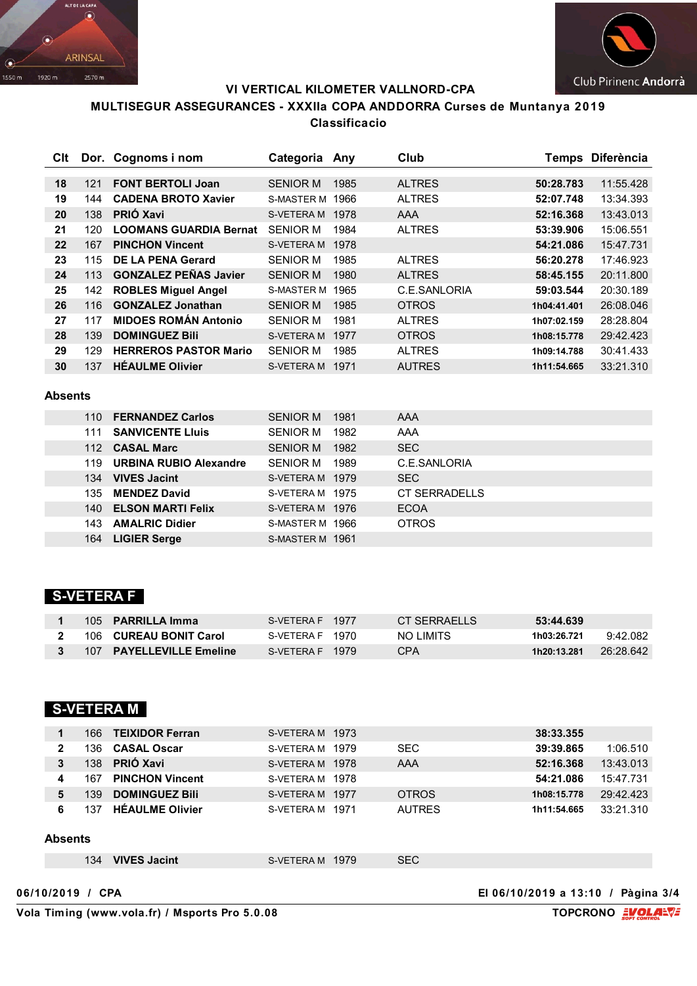



#### **VI VERTICAL KILOMETER VALLNORD-CPA**

### **MULTISEGUR ASSEGURANCES - XXXIIa COPA ANDDORRA Curses de Muntanya 2019 Classificacio**

| Clt |     | Dor. Cognoms i nom            | Categoria         | Anv  | Club          |             | Temps Diferència |
|-----|-----|-------------------------------|-------------------|------|---------------|-------------|------------------|
|     |     |                               |                   |      |               |             |                  |
| 18  | 121 | <b>FONT BERTOLI Joan</b>      | <b>SENIOR M</b>   | 1985 | <b>ALTRES</b> | 50:28.783   | 11:55.428        |
| 19  | 144 | <b>CADENA BROTO Xavier</b>    | <b>S-MASTER M</b> | 1966 | <b>ALTRES</b> | 52:07.748   | 13:34.393        |
| 20  | 138 | <b>PRIÓ Xavi</b>              | S-VETERA M        | 1978 | AAA           | 52:16.368   | 13:43.013        |
| 21  | 120 | <b>LOOMANS GUARDIA Bernat</b> | <b>SENIOR M</b>   | 1984 | <b>ALTRES</b> | 53:39.906   | 15:06.551        |
| 22  | 167 | <b>PINCHON Vincent</b>        | S-VETERA M        | 1978 |               | 54:21.086   | 15:47.731        |
| 23  | 115 | DE LA PENA Gerard             | <b>SENIOR M</b>   | 1985 | <b>ALTRES</b> | 56:20.278   | 17:46.923        |
| 24  | 113 | <b>GONZALEZ PEÑAS Javier</b>  | <b>SENIOR M</b>   | 1980 | <b>ALTRES</b> | 58:45.155   | 20:11.800        |
| 25  | 142 | <b>ROBLES Miguel Angel</b>    | <b>S-MASTER M</b> | 1965 | C.E.SANLORIA  | 59:03.544   | 20:30.189        |
| 26  | 116 | <b>GONZALEZ Jonathan</b>      | <b>SENIOR M</b>   | 1985 | <b>OTROS</b>  | 1h04:41.401 | 26:08.046        |
| 27  | 117 | <b>MIDOES ROMÁN Antonio</b>   | <b>SENIOR M</b>   | 1981 | <b>ALTRES</b> | 1h07:02.159 | 28:28.804        |
| 28  | 139 | <b>DOMINGUEZ Bili</b>         | S-VETERA M        | 1977 | <b>OTROS</b>  | 1h08:15.778 | 29:42.423        |
| 29  | 129 | <b>HERREROS PASTOR Mario</b>  | <b>SENIOR M</b>   | 1985 | <b>ALTRES</b> | 1h09:14.788 | 30:41.433        |
| 30  | 137 | <b>HEAULME Olivier</b>        | <b>S-VETERA M</b> | 1971 | <b>AUTRES</b> | 1h11:54.665 | 33:21.310        |

#### **Absents**

| 110  | <b>FERNANDEZ Carlos</b>       | <b>SENIOR M</b> | 1981 | AAA           |
|------|-------------------------------|-----------------|------|---------------|
| 111  | <b>SANVICENTE LIUIS</b>       | <b>SENIOR M</b> | 1982 | AAA           |
|      | 112 CASAL Marc                | <b>SENIOR M</b> | 1982 | <b>SEC</b>    |
| 119  | <b>URBINA RUBIO Alexandre</b> | <b>SENIOR M</b> | 1989 | C.E.SANLORIA  |
|      | 134 VIVES Jacint              | S-VETERA M 1979 |      | <b>SEC</b>    |
|      | 135 MENDEZ David              | S-VETERA M 1975 |      | CT SFRRADELLS |
| 140  | <b>ELSON MARTI Felix</b>      | S-VETERA M 1976 |      | <b>ECOA</b>   |
| 143. | <b>AMALRIC Didier</b>         | S-MASTER M 1966 |      | <b>OTROS</b>  |
| 164  | <b>LIGIER Serge</b>           | S-MASTER M 1961 |      |               |

# **S-VETERA F**

|  | 105 PARRILLA Imma        | S-VETERA F 1977 | CT SFRRAFLIS | 53:44.639   |           |
|--|--------------------------|-----------------|--------------|-------------|-----------|
|  | 106 CUREAU BONIT Carol   | S-VETERA F 1970 | NO I IMITS   | 1h03:26.721 | 9:42.082  |
|  | 107 PAYELLEVILLE Emeline | S-VETERA F 1979 | CPA          | 1h20:13.281 | 26:28.642 |

### **S-VETERA M**

|              | 166 TEIXIDOR Ferran    | S-VETERA M 1973 | 38:33.355              |
|--------------|------------------------|-----------------|------------------------|
| $\mathbf{2}$ | <b>CASAL Oscar</b>     | SEC.            | 39:39.865              |
|              | 136.                   | S-VETERA M 1979 | 1:06.510               |
| 3            | <b>PRIÓ Xavi</b>       | AAA             | 13:43.013              |
|              | 138                    | S-VETERA M 1978 | 52:16.368              |
| 4            | 167 PINCHON Vincent    | S-VETERA M 1978 | 15:47.731<br>54:21.086 |
| 5            | <b>DOMINGUEZ Bili</b>  | <b>OTROS</b>    | 29:42.423              |
|              | 139.                   | S-VETERA M 1977 | 1h08:15.778            |
|              | <b>HEAULME Olivier</b> | <b>AUTRES</b>   | 33:21.310              |
|              | 137                    | S-VETERA M 1971 | 1h11:54.665            |

#### **Absents**

|--|

### **06/10/2019 / CPA El 06/10/2019 a 13:10 / Pàgina 3/4**